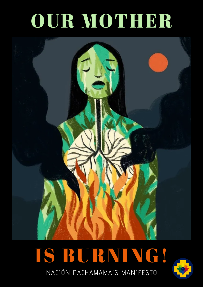## OUR MOTHER



## IS BURNING! NACIÓN PACHAMAMA'S MANIFESTO